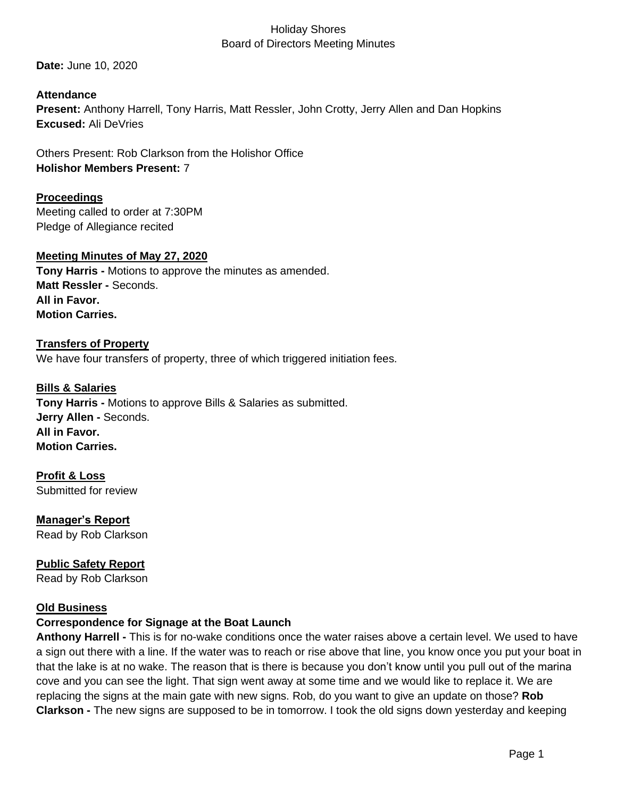**Date:** June 10, 2020

**Attendance Present:** Anthony Harrell, Tony Harris, Matt Ressler, John Crotty, Jerry Allen and Dan Hopkins **Excused:** Ali DeVries

Others Present: Rob Clarkson from the Holishor Office **Holishor Members Present:** 7

**Proceedings** Meeting called to order at 7:30PM Pledge of Allegiance recited

# **Meeting Minutes of May 27, 2020**

**Tony Harris -** Motions to approve the minutes as amended. **Matt Ressler -** Seconds. **All in Favor. Motion Carries.**

# **Transfers of Property** We have four transfers of property, three of which triggered initiation fees.

**Bills & Salaries Tony Harris -** Motions to approve Bills & Salaries as submitted. **Jerry Allen -** Seconds. **All in Favor. Motion Carries.**

**Profit & Loss** Submitted for review

**Manager's Report** Read by Rob Clarkson

**Public Safety Report**  Read by Rob Clarkson

### **Old Business**

# **Correspondence for Signage at the Boat Launch**

**Anthony Harrell -** This is for no-wake conditions once the water raises above a certain level. We used to have a sign out there with a line. If the water was to reach or rise above that line, you know once you put your boat in that the lake is at no wake. The reason that is there is because you don't know until you pull out of the marina cove and you can see the light. That sign went away at some time and we would like to replace it. We are replacing the signs at the main gate with new signs. Rob, do you want to give an update on those? **Rob Clarkson -** The new signs are supposed to be in tomorrow. I took the old signs down yesterday and keeping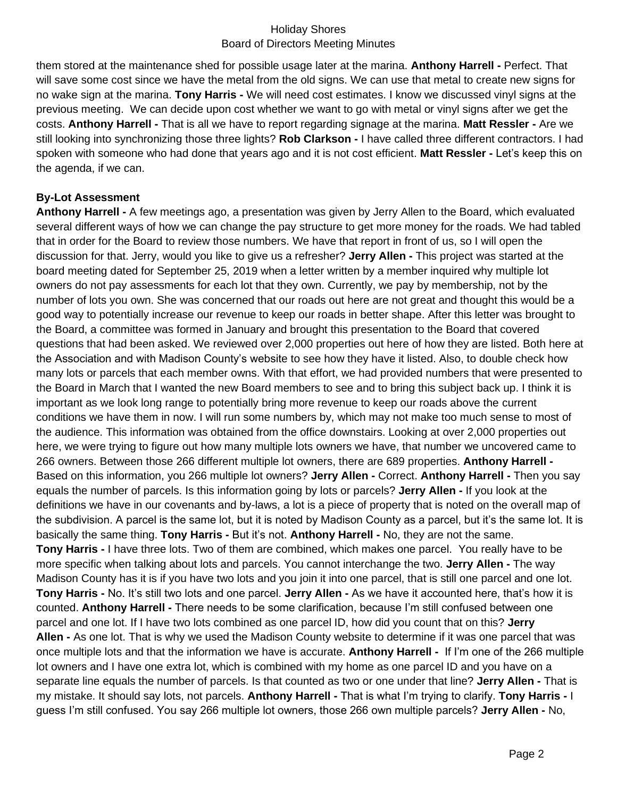them stored at the maintenance shed for possible usage later at the marina. **Anthony Harrell -** Perfect. That will save some cost since we have the metal from the old signs. We can use that metal to create new signs for no wake sign at the marina. **Tony Harris -** We will need cost estimates. I know we discussed vinyl signs at the previous meeting. We can decide upon cost whether we want to go with metal or vinyl signs after we get the costs. **Anthony Harrell -** That is all we have to report regarding signage at the marina. **Matt Ressler -** Are we still looking into synchronizing those three lights? **Rob Clarkson -** I have called three different contractors. I had spoken with someone who had done that years ago and it is not cost efficient. **Matt Ressler -** Let's keep this on the agenda, if we can.

# **By-Lot Assessment**

**Anthony Harrell -** A few meetings ago, a presentation was given by Jerry Allen to the Board, which evaluated several different ways of how we can change the pay structure to get more money for the roads. We had tabled that in order for the Board to review those numbers. We have that report in front of us, so I will open the discussion for that. Jerry, would you like to give us a refresher? **Jerry Allen -** This project was started at the board meeting dated for September 25, 2019 when a letter written by a member inquired why multiple lot owners do not pay assessments for each lot that they own. Currently, we pay by membership, not by the number of lots you own. She was concerned that our roads out here are not great and thought this would be a good way to potentially increase our revenue to keep our roads in better shape. After this letter was brought to the Board, a committee was formed in January and brought this presentation to the Board that covered questions that had been asked. We reviewed over 2,000 properties out here of how they are listed. Both here at the Association and with Madison County's website to see how they have it listed. Also, to double check how many lots or parcels that each member owns. With that effort, we had provided numbers that were presented to the Board in March that I wanted the new Board members to see and to bring this subject back up. I think it is important as we look long range to potentially bring more revenue to keep our roads above the current conditions we have them in now. I will run some numbers by, which may not make too much sense to most of the audience. This information was obtained from the office downstairs. Looking at over 2,000 properties out here, we were trying to figure out how many multiple lots owners we have, that number we uncovered came to 266 owners. Between those 266 different multiple lot owners, there are 689 properties. **Anthony Harrell -** Based on this information, you 266 multiple lot owners? **Jerry Allen -** Correct. **Anthony Harrell -** Then you say equals the number of parcels. Is this information going by lots or parcels? **Jerry Allen -** If you look at the definitions we have in our covenants and by-laws, a lot is a piece of property that is noted on the overall map of the subdivision. A parcel is the same lot, but it is noted by Madison County as a parcel, but it's the same lot. It is basically the same thing. **Tony Harris -** But it's not. **Anthony Harrell -** No, they are not the same. **Tony Harris -** I have three lots. Two of them are combined, which makes one parcel. You really have to be more specific when talking about lots and parcels. You cannot interchange the two. **Jerry Allen -** The way Madison County has it is if you have two lots and you join it into one parcel, that is still one parcel and one lot. **Tony Harris -** No. It's still two lots and one parcel. **Jerry Allen -** As we have it accounted here, that's how it is counted. **Anthony Harrell -** There needs to be some clarification, because I'm still confused between one parcel and one lot. If I have two lots combined as one parcel ID, how did you count that on this? **Jerry Allen -** As one lot. That is why we used the Madison County website to determine if it was one parcel that was once multiple lots and that the information we have is accurate. **Anthony Harrell -** If I'm one of the 266 multiple lot owners and I have one extra lot, which is combined with my home as one parcel ID and you have on a separate line equals the number of parcels. Is that counted as two or one under that line? **Jerry Allen -** That is my mistake. It should say lots, not parcels. **Anthony Harrell -** That is what I'm trying to clarify. **Tony Harris -** I guess I'm still confused. You say 266 multiple lot owners, those 266 own multiple parcels? **Jerry Allen -** No,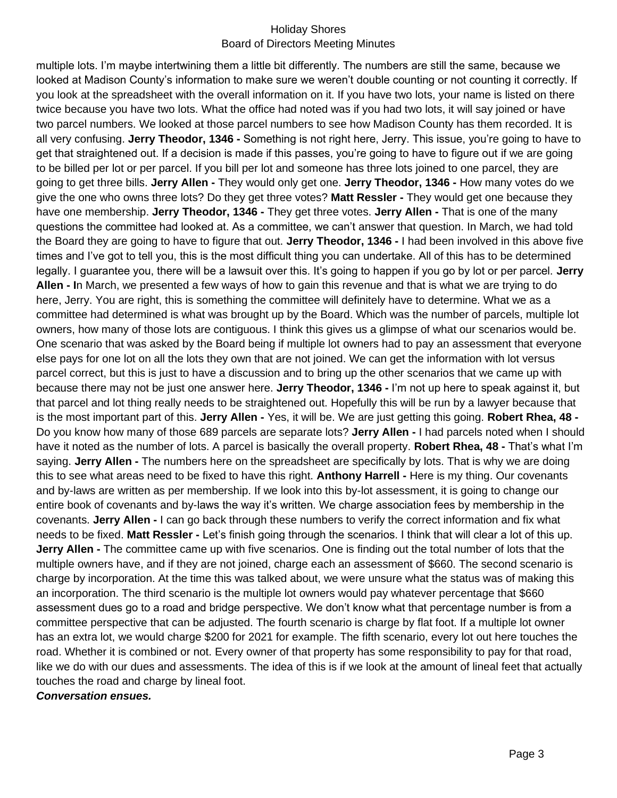multiple lots. I'm maybe intertwining them a little bit differently. The numbers are still the same, because we looked at Madison County's information to make sure we weren't double counting or not counting it correctly. If you look at the spreadsheet with the overall information on it. If you have two lots, your name is listed on there twice because you have two lots. What the office had noted was if you had two lots, it will say joined or have two parcel numbers. We looked at those parcel numbers to see how Madison County has them recorded. It is all very confusing. **Jerry Theodor, 1346 -** Something is not right here, Jerry. This issue, you're going to have to get that straightened out. If a decision is made if this passes, you're going to have to figure out if we are going to be billed per lot or per parcel. If you bill per lot and someone has three lots joined to one parcel, they are going to get three bills. **Jerry Allen -** They would only get one. **Jerry Theodor, 1346 -** How many votes do we give the one who owns three lots? Do they get three votes? **Matt Ressler -** They would get one because they have one membership. **Jerry Theodor, 1346 -** They get three votes. **Jerry Allen -** That is one of the many questions the committee had looked at. As a committee, we can't answer that question. In March, we had told the Board they are going to have to figure that out. **Jerry Theodor, 1346 -** I had been involved in this above five times and I've got to tell you, this is the most difficult thing you can undertake. All of this has to be determined legally. I guarantee you, there will be a lawsuit over this. It's going to happen if you go by lot or per parcel. **Jerry Allen - I**n March, we presented a few ways of how to gain this revenue and that is what we are trying to do here, Jerry. You are right, this is something the committee will definitely have to determine. What we as a committee had determined is what was brought up by the Board. Which was the number of parcels, multiple lot owners, how many of those lots are contiguous. I think this gives us a glimpse of what our scenarios would be. One scenario that was asked by the Board being if multiple lot owners had to pay an assessment that everyone else pays for one lot on all the lots they own that are not joined. We can get the information with lot versus parcel correct, but this is just to have a discussion and to bring up the other scenarios that we came up with because there may not be just one answer here. **Jerry Theodor, 1346 -** I'm not up here to speak against it, but that parcel and lot thing really needs to be straightened out. Hopefully this will be run by a lawyer because that is the most important part of this. **Jerry Allen -** Yes, it will be. We are just getting this going. **Robert Rhea, 48 -** Do you know how many of those 689 parcels are separate lots? **Jerry Allen -** I had parcels noted when I should have it noted as the number of lots. A parcel is basically the overall property. **Robert Rhea, 48 -** That's what I'm saying. **Jerry Allen -** The numbers here on the spreadsheet are specifically by lots. That is why we are doing this to see what areas need to be fixed to have this right. **Anthony Harrell -** Here is my thing. Our covenants and by-laws are written as per membership. If we look into this by-lot assessment, it is going to change our entire book of covenants and by-laws the way it's written. We charge association fees by membership in the covenants. **Jerry Allen -** I can go back through these numbers to verify the correct information and fix what needs to be fixed. **Matt Ressler -** Let's finish going through the scenarios. I think that will clear a lot of this up. **Jerry Allen -** The committee came up with five scenarios. One is finding out the total number of lots that the multiple owners have, and if they are not joined, charge each an assessment of \$660. The second scenario is charge by incorporation. At the time this was talked about, we were unsure what the status was of making this an incorporation. The third scenario is the multiple lot owners would pay whatever percentage that \$660 assessment dues go to a road and bridge perspective. We don't know what that percentage number is from a committee perspective that can be adjusted. The fourth scenario is charge by flat foot. If a multiple lot owner has an extra lot, we would charge \$200 for 2021 for example. The fifth scenario, every lot out here touches the road. Whether it is combined or not. Every owner of that property has some responsibility to pay for that road, like we do with our dues and assessments. The idea of this is if we look at the amount of lineal feet that actually touches the road and charge by lineal foot.

*Conversation ensues.*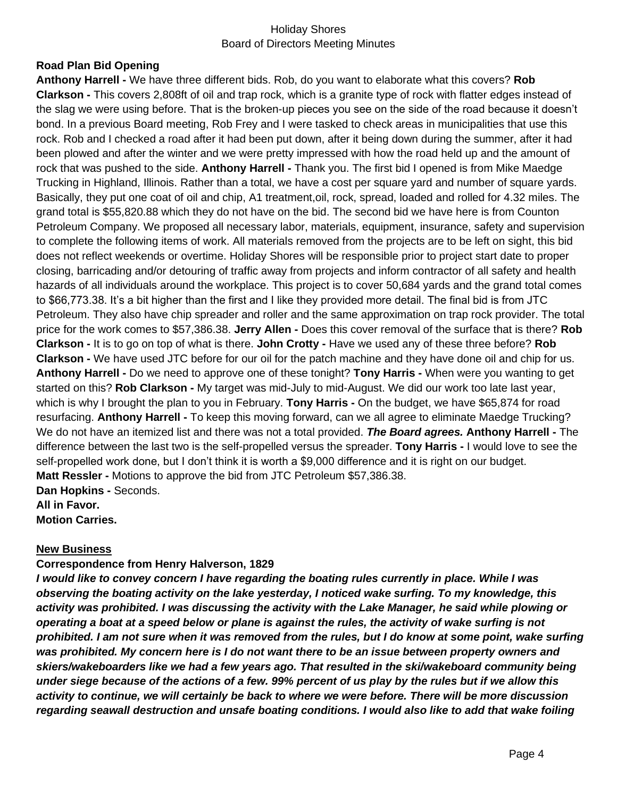### **Road Plan Bid Opening**

**Anthony Harrell -** We have three different bids. Rob, do you want to elaborate what this covers? **Rob Clarkson -** This covers 2,808ft of oil and trap rock, which is a granite type of rock with flatter edges instead of the slag we were using before. That is the broken-up pieces you see on the side of the road because it doesn't bond. In a previous Board meeting, Rob Frey and I were tasked to check areas in municipalities that use this rock. Rob and I checked a road after it had been put down, after it being down during the summer, after it had been plowed and after the winter and we were pretty impressed with how the road held up and the amount of rock that was pushed to the side. **Anthony Harrell -** Thank you. The first bid I opened is from Mike Maedge Trucking in Highland, Illinois. Rather than a total, we have a cost per square yard and number of square yards. Basically, they put one coat of oil and chip, A1 treatment,oil, rock, spread, loaded and rolled for 4.32 miles. The grand total is \$55,820.88 which they do not have on the bid. The second bid we have here is from Counton Petroleum Company. We proposed all necessary labor, materials, equipment, insurance, safety and supervision to complete the following items of work. All materials removed from the projects are to be left on sight, this bid does not reflect weekends or overtime. Holiday Shores will be responsible prior to project start date to proper closing, barricading and/or detouring of traffic away from projects and inform contractor of all safety and health hazards of all individuals around the workplace. This project is to cover 50,684 yards and the grand total comes to \$66,773.38. It's a bit higher than the first and I like they provided more detail. The final bid is from JTC Petroleum. They also have chip spreader and roller and the same approximation on trap rock provider. The total price for the work comes to \$57,386.38. **Jerry Allen -** Does this cover removal of the surface that is there? **Rob Clarkson -** It is to go on top of what is there. **John Crotty -** Have we used any of these three before? **Rob Clarkson -** We have used JTC before for our oil for the patch machine and they have done oil and chip for us. **Anthony Harrell -** Do we need to approve one of these tonight? **Tony Harris -** When were you wanting to get started on this? **Rob Clarkson -** My target was mid-July to mid-August. We did our work too late last year, which is why I brought the plan to you in February. **Tony Harris -** On the budget, we have \$65,874 for road resurfacing. **Anthony Harrell -** To keep this moving forward, can we all agree to eliminate Maedge Trucking? We do not have an itemized list and there was not a total provided. *The Board agrees.* **Anthony Harrell -** The difference between the last two is the self-propelled versus the spreader. **Tony Harris -** I would love to see the self-propelled work done, but I don't think it is worth a \$9,000 difference and it is right on our budget. **Matt Ressler -** Motions to approve the bid from JTC Petroleum \$57,386.38. **Dan Hopkins -** Seconds. **All in Favor.**

**Motion Carries.**

### **New Business**

### **Correspondence from Henry Halverson, 1829**

*I would like to convey concern I have regarding the boating rules currently in place. While I was observing the boating activity on the lake yesterday, I noticed wake surfing. To my knowledge, this activity was prohibited. I was discussing the activity with the Lake Manager, he said while plowing or operating a boat at a speed below or plane is against the rules, the activity of wake surfing is not prohibited. I am not sure when it was removed from the rules, but I do know at some point, wake surfing*  was prohibited. My concern here is I do not want there to be an issue between property owners and *skiers/wakeboarders like we had a few years ago. That resulted in the ski/wakeboard community being under siege because of the actions of a few. 99% percent of us play by the rules but if we allow this activity to continue, we will certainly be back to where we were before. There will be more discussion regarding seawall destruction and unsafe boating conditions. I would also like to add that wake foiling*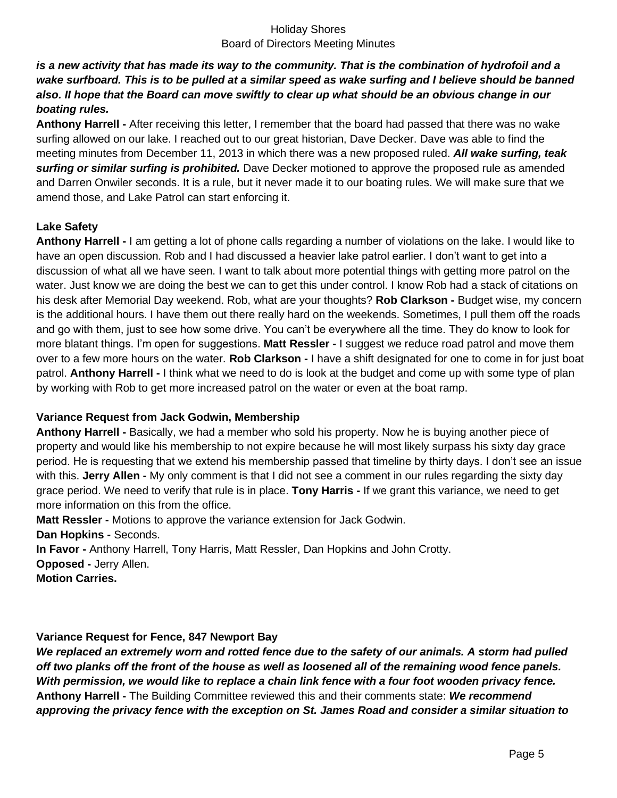*is a new activity that has made its way to the community. That is the combination of hydrofoil and a*  wake surfboard. This is to be pulled at a similar speed as wake surfing and I believe should be banned *also. II hope that the Board can move swiftly to clear up what should be an obvious change in our boating rules.* 

**Anthony Harrell -** After receiving this letter, I remember that the board had passed that there was no wake surfing allowed on our lake. I reached out to our great historian, Dave Decker. Dave was able to find the meeting minutes from December 11, 2013 in which there was a new proposed ruled. *All wake surfing, teak surfing or similar surfing is prohibited.* Dave Decker motioned to approve the proposed rule as amended and Darren Onwiler seconds. It is a rule, but it never made it to our boating rules. We will make sure that we amend those, and Lake Patrol can start enforcing it.

### **Lake Safety**

**Anthony Harrell -** I am getting a lot of phone calls regarding a number of violations on the lake. I would like to have an open discussion. Rob and I had discussed a heavier lake patrol earlier. I don't want to get into a discussion of what all we have seen. I want to talk about more potential things with getting more patrol on the water. Just know we are doing the best we can to get this under control. I know Rob had a stack of citations on his desk after Memorial Day weekend. Rob, what are your thoughts? **Rob Clarkson -** Budget wise, my concern is the additional hours. I have them out there really hard on the weekends. Sometimes, I pull them off the roads and go with them, just to see how some drive. You can't be everywhere all the time. They do know to look for more blatant things. I'm open for suggestions. **Matt Ressler -** I suggest we reduce road patrol and move them over to a few more hours on the water. **Rob Clarkson -** I have a shift designated for one to come in for just boat patrol. **Anthony Harrell -** I think what we need to do is look at the budget and come up with some type of plan by working with Rob to get more increased patrol on the water or even at the boat ramp.

### **Variance Request from Jack Godwin, Membership**

**Anthony Harrell -** Basically, we had a member who sold his property. Now he is buying another piece of property and would like his membership to not expire because he will most likely surpass his sixty day grace period. He is requesting that we extend his membership passed that timeline by thirty days. I don't see an issue with this. **Jerry Allen -** My only comment is that I did not see a comment in our rules regarding the sixty day grace period. We need to verify that rule is in place. **Tony Harris -** If we grant this variance, we need to get more information on this from the office.

**Matt Ressler -** Motions to approve the variance extension for Jack Godwin.

**Dan Hopkins -** Seconds.

**In Favor -** Anthony Harrell, Tony Harris, Matt Ressler, Dan Hopkins and John Crotty.

**Opposed -** Jerry Allen.

**Motion Carries.** 

# **Variance Request for Fence, 847 Newport Bay**

*We replaced an extremely worn and rotted fence due to the safety of our animals. A storm had pulled off two planks off the front of the house as well as loosened all of the remaining wood fence panels. With permission, we would like to replace a chain link fence with a four foot wooden privacy fence.*  **Anthony Harrell -** The Building Committee reviewed this and their comments state: *We recommend approving the privacy fence with the exception on St. James Road and consider a similar situation to*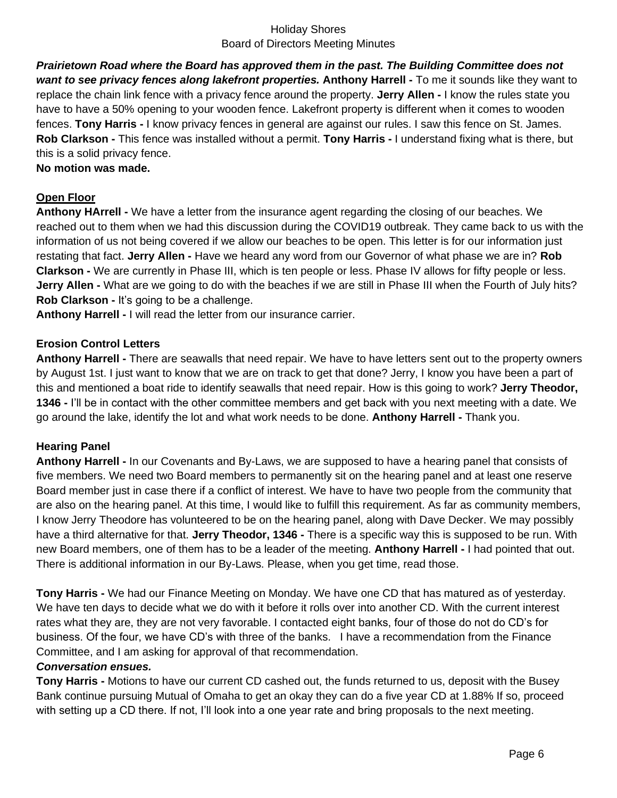*Prairietown Road where the Board has approved them in the past. The Building Committee does not want to see privacy fences along lakefront properties.* **Anthony Harrell -** To me it sounds like they want to replace the chain link fence with a privacy fence around the property. **Jerry Allen -** I know the rules state you have to have a 50% opening to your wooden fence. Lakefront property is different when it comes to wooden fences. **Tony Harris -** I know privacy fences in general are against our rules. I saw this fence on St. James. **Rob Clarkson -** This fence was installed without a permit. **Tony Harris -** I understand fixing what is there, but this is a solid privacy fence.

**No motion was made.**

# **Open Floor**

**Anthony HArrell -** We have a letter from the insurance agent regarding the closing of our beaches. We reached out to them when we had this discussion during the COVID19 outbreak. They came back to us with the information of us not being covered if we allow our beaches to be open. This letter is for our information just restating that fact. **Jerry Allen -** Have we heard any word from our Governor of what phase we are in? **Rob Clarkson -** We are currently in Phase III, which is ten people or less. Phase IV allows for fifty people or less. **Jerry Allen -** What are we going to do with the beaches if we are still in Phase III when the Fourth of July hits? **Rob Clarkson -** It's going to be a challenge.

**Anthony Harrell -** I will read the letter from our insurance carrier.

### **Erosion Control Letters**

**Anthony Harrell -** There are seawalls that need repair. We have to have letters sent out to the property owners by August 1st. I just want to know that we are on track to get that done? Jerry, I know you have been a part of this and mentioned a boat ride to identify seawalls that need repair. How is this going to work? **Jerry Theodor, 1346 -** I'll be in contact with the other committee members and get back with you next meeting with a date. We go around the lake, identify the lot and what work needs to be done. **Anthony Harrell -** Thank you.

### **Hearing Panel**

**Anthony Harrell -** In our Covenants and By-Laws, we are supposed to have a hearing panel that consists of five members. We need two Board members to permanently sit on the hearing panel and at least one reserve Board member just in case there if a conflict of interest. We have to have two people from the community that are also on the hearing panel. At this time, I would like to fulfill this requirement. As far as community members, I know Jerry Theodore has volunteered to be on the hearing panel, along with Dave Decker. We may possibly have a third alternative for that. **Jerry Theodor, 1346 -** There is a specific way this is supposed to be run. With new Board members, one of them has to be a leader of the meeting. **Anthony Harrell -** I had pointed that out. There is additional information in our By-Laws. Please, when you get time, read those.

**Tony Harris -** We had our Finance Meeting on Monday. We have one CD that has matured as of yesterday. We have ten days to decide what we do with it before it rolls over into another CD. With the current interest rates what they are, they are not very favorable. I contacted eight banks, four of those do not do CD's for business. Of the four, we have CD's with three of the banks. I have a recommendation from the Finance Committee, and I am asking for approval of that recommendation.

### *Conversation ensues.*

**Tony Harris -** Motions to have our current CD cashed out, the funds returned to us, deposit with the Busey Bank continue pursuing Mutual of Omaha to get an okay they can do a five year CD at 1.88% If so, proceed with setting up a CD there. If not, I'll look into a one year rate and bring proposals to the next meeting.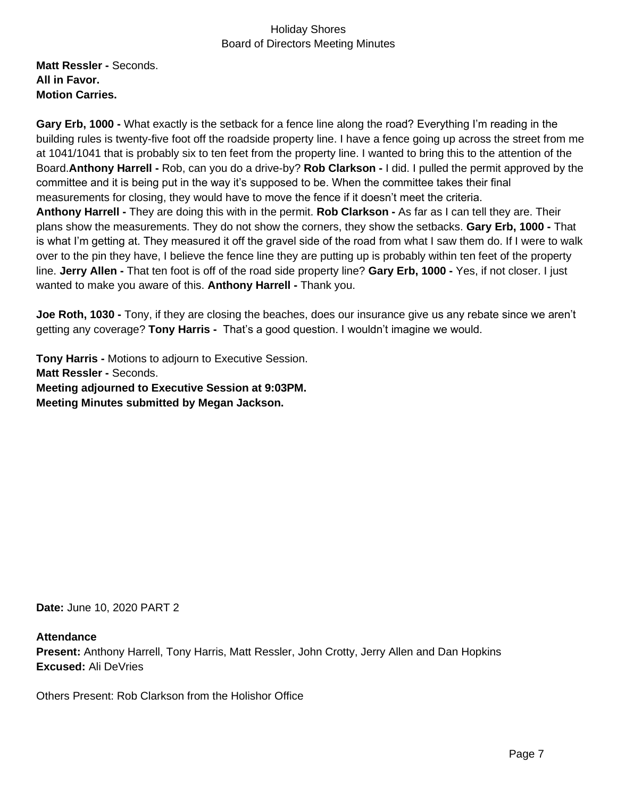**Matt Ressler -** Seconds. **All in Favor. Motion Carries.**

**Gary Erb, 1000 -** What exactly is the setback for a fence line along the road? Everything I'm reading in the building rules is twenty-five foot off the roadside property line. I have a fence going up across the street from me at 1041/1041 that is probably six to ten feet from the property line. I wanted to bring this to the attention of the Board.**Anthony Harrell -** Rob, can you do a drive-by? **Rob Clarkson -** I did. I pulled the permit approved by the committee and it is being put in the way it's supposed to be. When the committee takes their final measurements for closing, they would have to move the fence if it doesn't meet the criteria. **Anthony Harrell -** They are doing this with in the permit. **Rob Clarkson -** As far as I can tell they are. Their plans show the measurements. They do not show the corners, they show the setbacks. **Gary Erb, 1000 -** That is what I'm getting at. They measured it off the gravel side of the road from what I saw them do. If I were to walk over to the pin they have, I believe the fence line they are putting up is probably within ten feet of the property line. **Jerry Allen -** That ten foot is off of the road side property line? **Gary Erb, 1000 -** Yes, if not closer. I just wanted to make you aware of this. **Anthony Harrell -** Thank you.

**Joe Roth, 1030 -** Tony, if they are closing the beaches, does our insurance give us any rebate since we aren't getting any coverage? **Tony Harris -** That's a good question. I wouldn't imagine we would.

**Tony Harris -** Motions to adjourn to Executive Session. **Matt Ressler -** Seconds. **Meeting adjourned to Executive Session at 9:03PM. Meeting Minutes submitted by Megan Jackson.**

**Date:** June 10, 2020 PART 2

### **Attendance**

**Present:** Anthony Harrell, Tony Harris, Matt Ressler, John Crotty, Jerry Allen and Dan Hopkins **Excused:** Ali DeVries

Others Present: Rob Clarkson from the Holishor Office